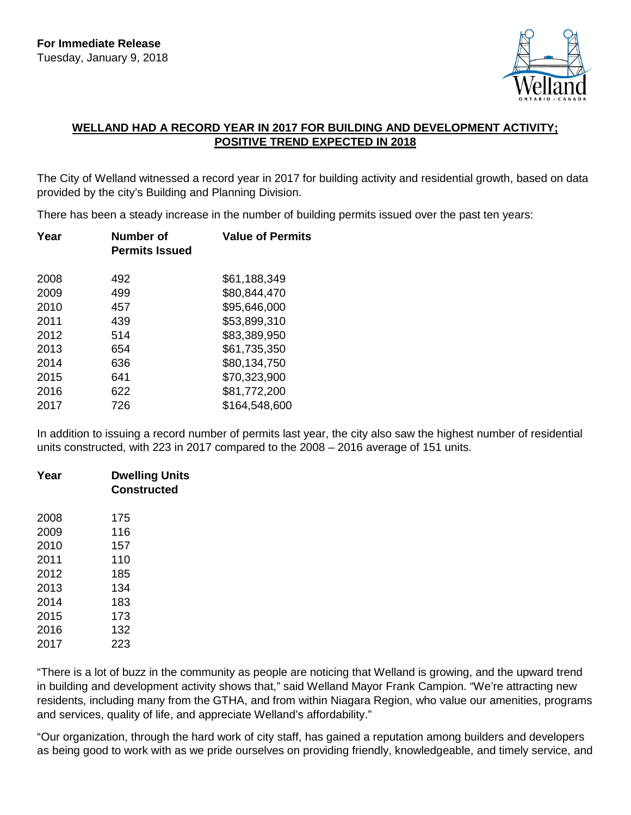

## **WELLAND HAD A RECORD YEAR IN 2017 FOR BUILDING AND DEVELOPMENT ACTIVITY; POSITIVE TREND EXPECTED IN 2018**

The City of Welland witnessed a record year in 2017 for building activity and residential growth, based on data provided by the city's Building and Planning Division.

There has been a steady increase in the number of building permits issued over the past ten years:

| Year | Number of<br><b>Permits Issued</b> | <b>Value of Permits</b> |
|------|------------------------------------|-------------------------|
| 2008 | 492                                | \$61,188,349            |
| 2009 | 499                                | \$80,844,470            |
| 2010 | 457                                | \$95,646,000            |
| 2011 | 439                                | \$53,899,310            |
| 2012 | 514                                | \$83,389,950            |
| 2013 | 654                                | \$61,735,350            |
| 2014 | 636                                | \$80,134,750            |
| 2015 | 641                                | \$70,323,900            |
| 2016 | 622                                | \$81,772,200            |
| 2017 | 726                                | \$164,548,600           |

In addition to issuing a record number of permits last year, the city also saw the highest number of residential units constructed, with 223 in 2017 compared to the 2008 – 2016 average of 151 units.

| Year | <b>Dwelling Units</b><br>Constructed |
|------|--------------------------------------|
| 2008 | 175                                  |
| 2009 | 116                                  |
| 2010 | 157                                  |
| 2011 | 110                                  |
| 2012 | 185                                  |
| 2013 | 134                                  |
| 2014 | 183                                  |
| 2015 | 173                                  |
| 2016 | 132                                  |
| 2017 | 223                                  |

"There is a lot of buzz in the community as people are noticing that Welland is growing, and the upward trend in building and development activity shows that," said Welland Mayor Frank Campion. "We're attracting new residents, including many from the GTHA, and from within Niagara Region, who value our amenities, programs and services, quality of life, and appreciate Welland's affordability."

"Our organization, through the hard work of city staff, has gained a reputation among builders and developers as being good to work with as we pride ourselves on providing friendly, knowledgeable, and timely service, and